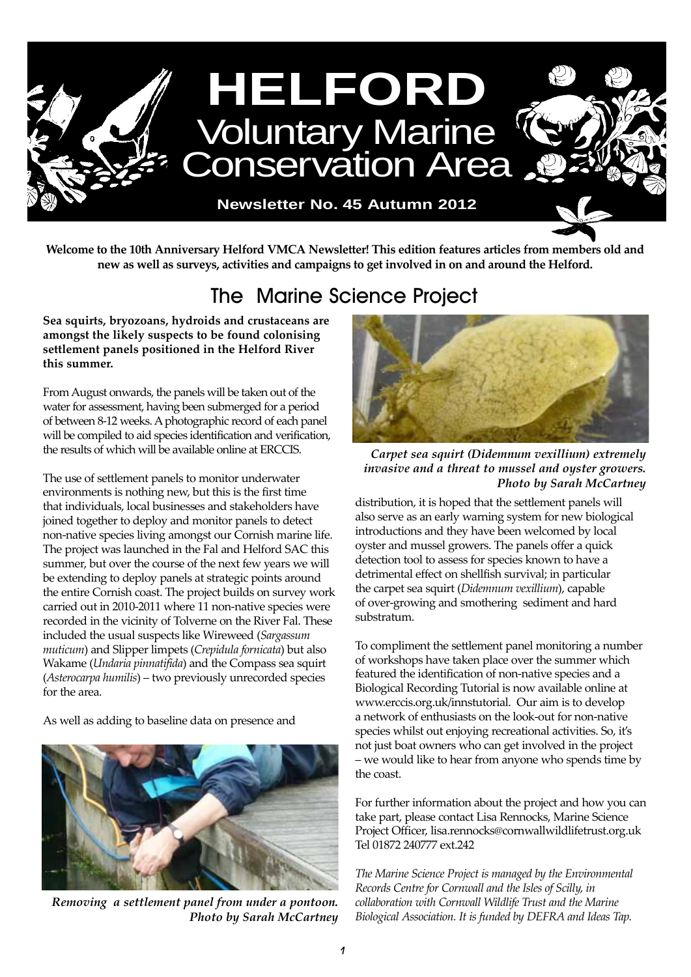

**Welcome to the 10th Anniversary Helford VMCA Newsletter! This edition features articles from members old and new as well as surveys, activities and campaigns to get involved in on and around the Helford.**

## The Marine Science Project

**Sea squirts, bryozoans, hydroids and crustaceans are amongst the likely suspects to be found colonising settlement panels positioned in the Helford River this summer.** 

From August onwards, the panels will be taken out of the water for assessment, having been submerged for a period of between 8-12 weeks. A photographic record of each panel will be compiled to aid species identification and verification, the results of which will be available online at ERCCIS.

The use of settlement panels to monitor underwater environments is nothing new, but this is the first time that individuals, local businesses and stakeholders have joined together to deploy and monitor panels to detect non-native species living amongst our Cornish marine life. The project was launched in the Fal and Helford SAC this summer, but over the course of the next few years we will be extending to deploy panels at strategic points around the entire Cornish coast. The project builds on survey work carried out in 2010-2011 where 11 non-native species were recorded in the vicinity of Tolverne on the River Fal. These included the usual suspects like Wireweed (*Sargassum muticum*) and Slipper limpets (*Crepidula fornicata*) but also Wakame (*Undaria pinnatifida*) and the Compass sea squirt (*Asterocarpa humilis*) – two previously unrecorded species for the area.

As well as adding to baseline data on presence and



*Removing a settlement panel from under a pontoon. Photo by Sarah McCartney*



*Carpet sea squirt (Didemnum vexillium) extremely invasive and a threat to mussel and oyster growers. Photo by Sarah McCartney*

distribution, it is hoped that the settlement panels will also serve as an early warning system for new biological introductions and they have been welcomed by local oyster and mussel growers. The panels offer a quick detection tool to assess for species known to have a detrimental effect on shellfish survival; in particular the carpet sea squirt (*Didemnum vexillium*), capable of over-growing and smothering sediment and hard substratum.

To compliment the settlement panel monitoring a number of workshops have taken place over the summer which featured the identification of non-native species and a Biological Recording Tutorial is now available online at www.erccis.org.uk/innstutorial. Our aim is to develop a network of enthusiasts on the look-out for non-native species whilst out enjoying recreational activities. So, it's not just boat owners who can get involved in the project – we would like to hear from anyone who spends time by the coast.

For further information about the project and how you can take part, please contact Lisa Rennocks, Marine Science Project Officer, lisa.rennocks@cornwallwildlifetrust.org.uk Tel 01872 240777 ext.242

*The Marine Science Project is managed by the Environmental Records Centre for Cornwall and the Isles of Scilly, in collaboration with Cornwall Wildlife Trust and the Marine Biological Association. It is funded by DEFRA and Ideas Tap.*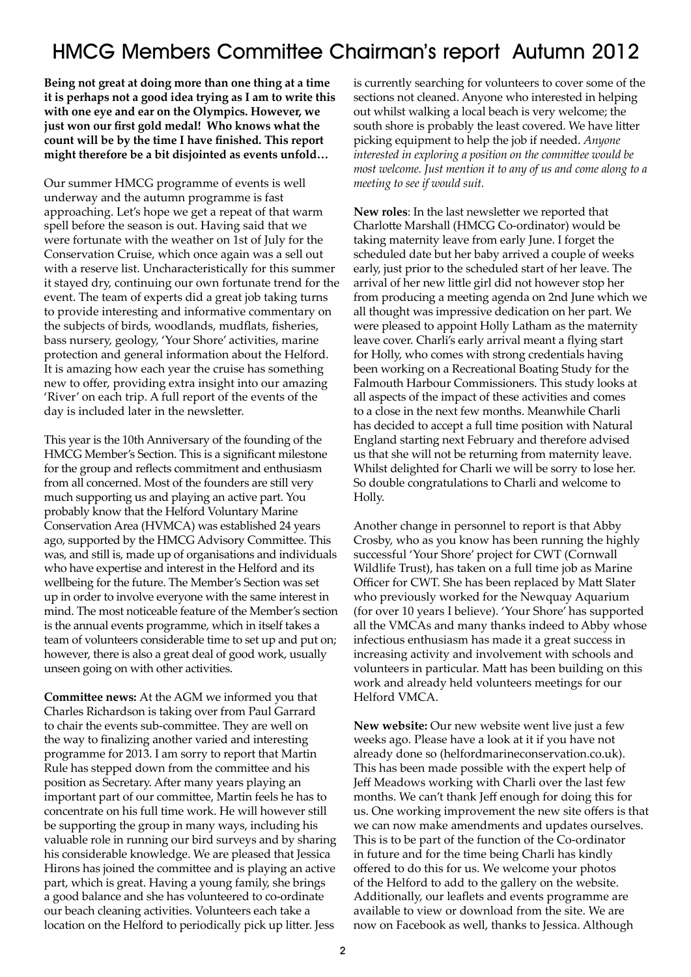### HMCG Members Committee Chairman's report Autumn 2012

**Being not great at doing more than one thing at a time it is perhaps not a good idea trying as I am to write this with one eye and ear on the Olympics. However, we just won our first gold medal! Who knows what the count will be by the time I have finished. This report might therefore be a bit disjointed as events unfold…**

Our summer HMCG programme of events is well underway and the autumn programme is fast approaching. Let's hope we get a repeat of that warm spell before the season is out. Having said that we were fortunate with the weather on 1st of July for the Conservation Cruise, which once again was a sell out with a reserve list. Uncharacteristically for this summer it stayed dry, continuing our own fortunate trend for the event. The team of experts did a great job taking turns to provide interesting and informative commentary on the subjects of birds, woodlands, mudflats, fisheries, bass nursery, geology, 'Your Shore' activities, marine protection and general information about the Helford. It is amazing how each year the cruise has something new to offer, providing extra insight into our amazing 'River' on each trip. A full report of the events of the day is included later in the newsletter.

This year is the 10th Anniversary of the founding of the HMCG Member's Section. This is a significant milestone for the group and reflects commitment and enthusiasm from all concerned. Most of the founders are still very much supporting us and playing an active part. You probably know that the Helford Voluntary Marine Conservation Area (HVMCA) was established 24 years ago, supported by the HMCG Advisory Committee. This was, and still is, made up of organisations and individuals who have expertise and interest in the Helford and its wellbeing for the future. The Member's Section was set up in order to involve everyone with the same interest in mind. The most noticeable feature of the Member's section is the annual events programme, which in itself takes a team of volunteers considerable time to set up and put on; however, there is also a great deal of good work, usually unseen going on with other activities.

**Committee news:** At the AGM we informed you that Charles Richardson is taking over from Paul Garrard to chair the events sub-committee. They are well on the way to finalizing another varied and interesting programme for 2013. I am sorry to report that Martin Rule has stepped down from the committee and his position as Secretary. After many years playing an important part of our committee, Martin feels he has to concentrate on his full time work. He will however still be supporting the group in many ways, including his valuable role in running our bird surveys and by sharing his considerable knowledge. We are pleased that Jessica Hirons has joined the committee and is playing an active part, which is great. Having a young family, she brings a good balance and she has volunteered to co-ordinate our beach cleaning activities. Volunteers each take a location on the Helford to periodically pick up litter. Jess

is currently searching for volunteers to cover some of the sections not cleaned. Anyone who interested in helping out whilst walking a local beach is very welcome; the south shore is probably the least covered. We have litter picking equipment to help the job if needed. *Anyone interested in exploring a position on the committee would be most welcome. Just mention it to any of us and come along to a meeting to see if would suit.*

**New roles**: In the last newsletter we reported that Charlotte Marshall (HMCG Co-ordinator) would be taking maternity leave from early June. I forget the scheduled date but her baby arrived a couple of weeks early, just prior to the scheduled start of her leave. The arrival of her new little girl did not however stop her from producing a meeting agenda on 2nd June which we all thought was impressive dedication on her part. We were pleased to appoint Holly Latham as the maternity leave cover. Charli's early arrival meant a flying start for Holly, who comes with strong credentials having been working on a Recreational Boating Study for the Falmouth Harbour Commissioners. This study looks at all aspects of the impact of these activities and comes to a close in the next few months. Meanwhile Charli has decided to accept a full time position with Natural England starting next February and therefore advised us that she will not be returning from maternity leave. Whilst delighted for Charli we will be sorry to lose her. So double congratulations to Charli and welcome to Holly.

Another change in personnel to report is that Abby Crosby, who as you know has been running the highly successful 'Your Shore' project for CWT (Cornwall Wildlife Trust), has taken on a full time job as Marine Officer for CWT. She has been replaced by Matt Slater who previously worked for the Newquay Aquarium (for over 10 years I believe). 'Your Shore' has supported all the VMCAs and many thanks indeed to Abby whose infectious enthusiasm has made it a great success in increasing activity and involvement with schools and volunteers in particular. Matt has been building on this work and already held volunteers meetings for our Helford VMCA.

**New website:** Our new website went live just a few weeks ago. Please have a look at it if you have not already done so (helfordmarineconservation.co.uk). This has been made possible with the expert help of Jeff Meadows working with Charli over the last few months. We can't thank Jeff enough for doing this for us. One working improvement the new site offers is that we can now make amendments and updates ourselves. This is to be part of the function of the Co-ordinator in future and for the time being Charli has kindly offered to do this for us. We welcome your photos of the Helford to add to the gallery on the website. Additionally, our leaflets and events programme are available to view or download from the site. We are now on Facebook as well, thanks to Jessica. Although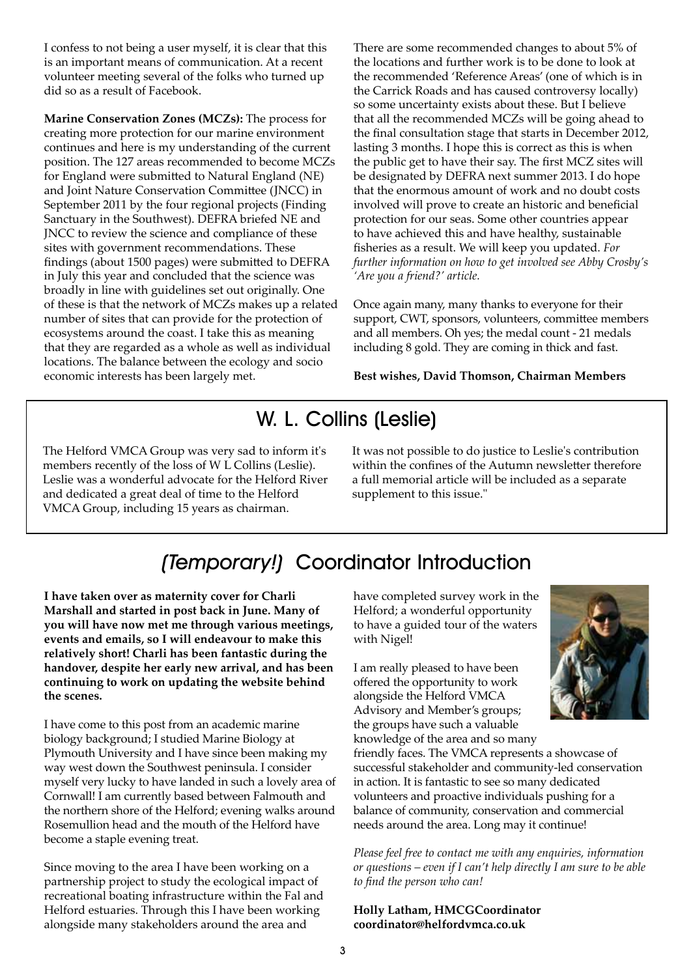I confess to not being a user myself, it is clear that this is an important means of communication. At a recent volunteer meeting several of the folks who turned up did so as a result of Facebook.

**Marine Conservation Zones (MCZs):** The process for creating more protection for our marine environment continues and here is my understanding of the current position. The 127 areas recommended to become MCZs for England were submitted to Natural England (NE) and Joint Nature Conservation Committee (JNCC) in September 2011 by the four regional projects (Finding Sanctuary in the Southwest). DEFRA briefed NE and JNCC to review the science and compliance of these sites with government recommendations. These findings (about 1500 pages) were submitted to DEFRA in July this year and concluded that the science was broadly in line with guidelines set out originally. One of these is that the network of MCZs makes up a related number of sites that can provide for the protection of ecosystems around the coast. I take this as meaning that they are regarded as a whole as well as individual locations. The balance between the ecology and socio economic interests has been largely met.

There are some recommended changes to about 5% of the locations and further work is to be done to look at the recommended 'Reference Areas' (one of which is in the Carrick Roads and has caused controversy locally) so some uncertainty exists about these. But I believe that all the recommended MCZs will be going ahead to the final consultation stage that starts in December 2012, lasting 3 months. I hope this is correct as this is when the public get to have their say. The first MCZ sites will be designated by DEFRA next summer 2013. I do hope that the enormous amount of work and no doubt costs involved will prove to create an historic and beneficial protection for our seas. Some other countries appear to have achieved this and have healthy, sustainable fisheries as a result. We will keep you updated. *For further information on how to get involved see Abby Crosby's 'Are you a friend?' article.*

Once again many, many thanks to everyone for their support, CWT, sponsors, volunteers, committee members and all members. Oh yes; the medal count - 21 medals including 8 gold. They are coming in thick and fast.

#### **Best wishes, David Thomson, Chairman Members**

### W. L. Collins (Leslie)

The Helford VMCA Group was very sad to inform it's members recently of the loss of W L Collins (Leslie). Leslie was a wonderful advocate for the Helford River and dedicated a great deal of time to the Helford VMCA Group, including 15 years as chairman.

It was not possible to do justice to Leslie's contribution within the confines of the Autumn newsletter therefore a full memorial article will be included as a separate supplement to this issue."

## (Temporary!) Coordinator Introduction

**I have taken over as maternity cover for Charli Marshall and started in post back in June. Many of you will have now met me through various meetings, events and emails, so I will endeavour to make this relatively short! Charli has been fantastic during the handover, despite her early new arrival, and has been continuing to work on updating the website behind the scenes.**

I have come to this post from an academic marine biology background; I studied Marine Biology at Plymouth University and I have since been making my way west down the Southwest peninsula. I consider myself very lucky to have landed in such a lovely area of Cornwall! I am currently based between Falmouth and the northern shore of the Helford; evening walks around Rosemullion head and the mouth of the Helford have become a staple evening treat.

Since moving to the area I have been working on a partnership project to study the ecological impact of recreational boating infrastructure within the Fal and Helford estuaries. Through this I have been working alongside many stakeholders around the area and

have completed survey work in the Helford; a wonderful opportunity to have a guided tour of the waters with Nigel!

I am really pleased to have been offered the opportunity to work alongside the Helford VMCA Advisory and Member's groups; the groups have such a valuable knowledge of the area and so many



friendly faces. The VMCA represents a showcase of successful stakeholder and community-led conservation in action. It is fantastic to see so many dedicated volunteers and proactive individuals pushing for a balance of community, conservation and commercial needs around the area. Long may it continue!

*Please feel free to contact me with any enquiries, information or questions – even if I can't help directly I am sure to be able to find the person who can!* 

**Holly Latham, HMCGCoordinator coordinator@helfordvmca.co.uk**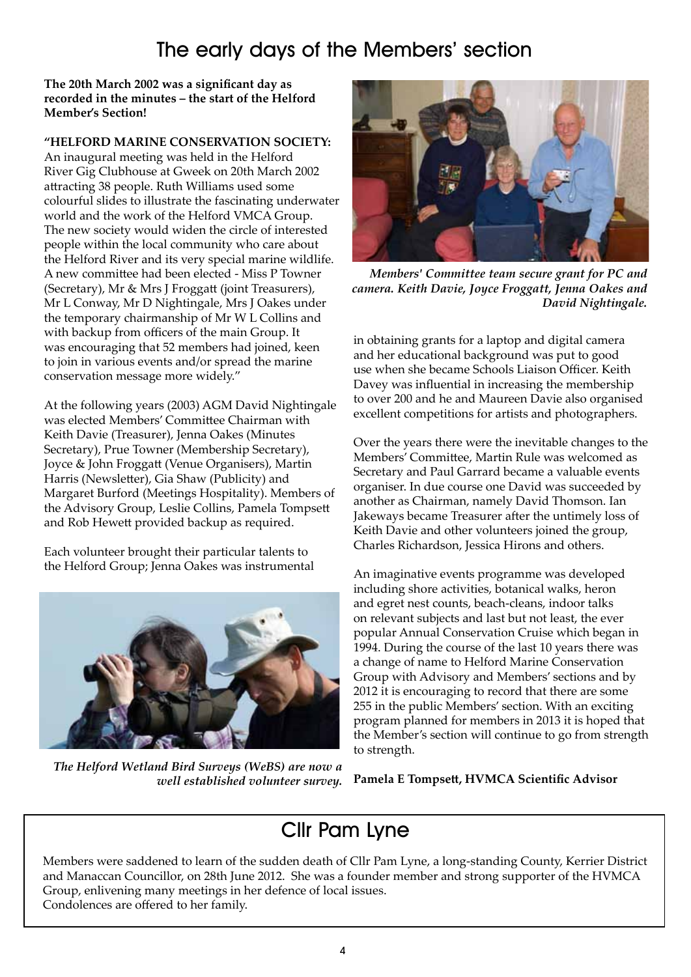### The early days of the Members' section

**The 20th March 2002 was a significant day as recorded in the minutes – the start of the Helford Member's Section!**

### **"HELFORD MARINE CONSERVATION SOCIETY:**

An inaugural meeting was held in the Helford River Gig Clubhouse at Gweek on 20th March 2002 attracting 38 people. Ruth Williams used some colourful slides to illustrate the fascinating underwater world and the work of the Helford VMCA Group. The new society would widen the circle of interested people within the local community who care about the Helford River and its very special marine wildlife. A new committee had been elected - Miss P Towner (Secretary), Mr & Mrs J Froggatt (joint Treasurers), Mr L Conway, Mr D Nightingale, Mrs J Oakes under the temporary chairmanship of Mr W L Collins and with backup from officers of the main Group. It was encouraging that 52 members had joined, keen to join in various events and/or spread the marine conservation message more widely."

At the following years (2003) AGM David Nightingale was elected Members' Committee Chairman with Keith Davie (Treasurer), Jenna Oakes (Minutes Secretary), Prue Towner (Membership Secretary), Joyce & John Froggatt (Venue Organisers), Martin Harris (Newsletter), Gia Shaw (Publicity) and Margaret Burford (Meetings Hospitality). Members of the Advisory Group, Leslie Collins, Pamela Tompsett and Rob Hewett provided backup as required.

Each volunteer brought their particular talents to the Helford Group; Jenna Oakes was instrumental



*The Helford Wetland Bird Surveys (WeBS) are now a well established volunteer survey.*



*Members' Committee team secure grant for PC and camera. Keith Davie, Joyce Froggatt, Jenna Oakes and David Nightingale.*

in obtaining grants for a laptop and digital camera and her educational background was put to good use when she became Schools Liaison Officer. Keith Davey was influential in increasing the membership to over 200 and he and Maureen Davie also organised excellent competitions for artists and photographers.

Over the years there were the inevitable changes to the Members' Committee, Martin Rule was welcomed as Secretary and Paul Garrard became a valuable events organiser. In due course one David was succeeded by another as Chairman, namely David Thomson. Ian Jakeways became Treasurer after the untimely loss of Keith Davie and other volunteers joined the group, Charles Richardson, Jessica Hirons and others.

An imaginative events programme was developed including shore activities, botanical walks, heron and egret nest counts, beach-cleans, indoor talks on relevant subjects and last but not least, the ever popular Annual Conservation Cruise which began in 1994. During the course of the last 10 years there was a change of name to Helford Marine Conservation Group with Advisory and Members' sections and by 2012 it is encouraging to record that there are some 255 in the public Members' section. With an exciting program planned for members in 2013 it is hoped that the Member's section will continue to go from strength to strength.

**Pamela E Tompsett, HVMCA Scientific Advisor**

### Cllr Pam Lyne

Members were saddened to learn of the sudden death of Cllr Pam Lyne, a long-standing County, Kerrier District and Manaccan Councillor, on 28th June 2012. She was a founder member and strong supporter of the HVMCA Group, enlivening many meetings in her defence of local issues. Condolences are offered to her family.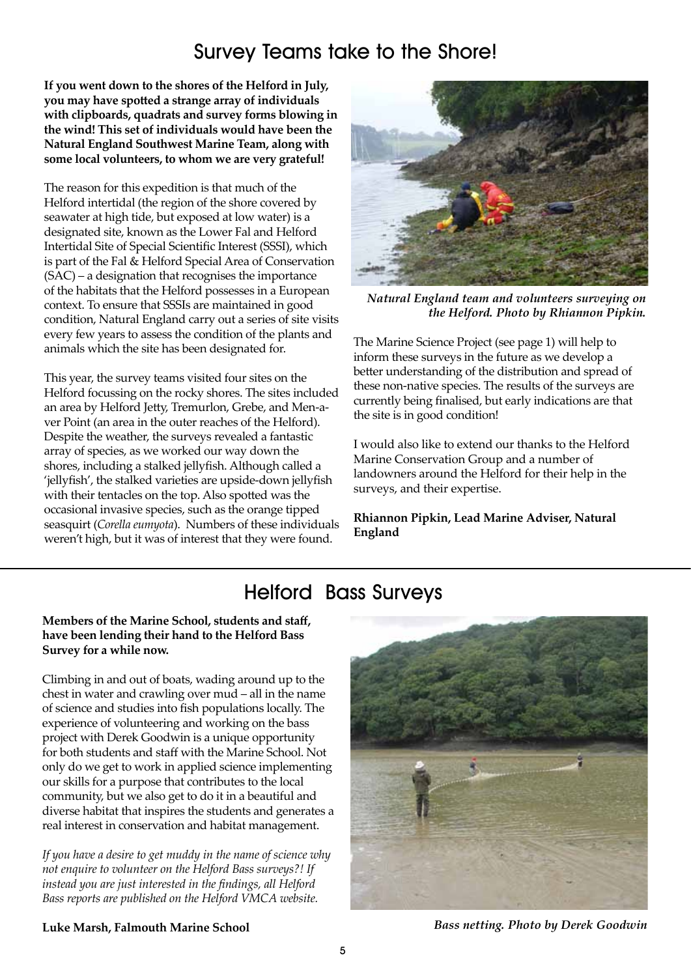### Survey Teams take to the Shore!

**If you went down to the shores of the Helford in July, you may have spotted a strange array of individuals with clipboards, quadrats and survey forms blowing in the wind! This set of individuals would have been the Natural England Southwest Marine Team, along with some local volunteers, to whom we are very grateful!** 

The reason for this expedition is that much of the Helford intertidal (the region of the shore covered by seawater at high tide, but exposed at low water) is a designated site, known as the Lower Fal and Helford Intertidal Site of Special Scientific Interest (SSSI), which is part of the Fal & Helford Special Area of Conservation (SAC) – a designation that recognises the importance of the habitats that the Helford possesses in a European context. To ensure that SSSIs are maintained in good condition, Natural England carry out a series of site visits every few years to assess the condition of the plants and animals which the site has been designated for.

This year, the survey teams visited four sites on the Helford focussing on the rocky shores. The sites included an area by Helford Jetty, Tremurlon, Grebe, and Men-aver Point (an area in the outer reaches of the Helford). Despite the weather, the surveys revealed a fantastic array of species, as we worked our way down the shores, including a stalked jellyfish. Although called a 'jellyfish', the stalked varieties are upside-down jellyfish with their tentacles on the top. Also spotted was the occasional invasive species, such as the orange tipped seasquirt (*Corella eumyota*). Numbers of these individuals weren't high, but it was of interest that they were found.



*Natural England team and volunteers surveying on the Helford. Photo by Rhiannon Pipkin.*

The Marine Science Project (see page 1) will help to inform these surveys in the future as we develop a better understanding of the distribution and spread of these non-native species. The results of the surveys are currently being finalised, but early indications are that the site is in good condition!

I would also like to extend our thanks to the Helford Marine Conservation Group and a number of landowners around the Helford for their help in the surveys, and their expertise.

**Rhiannon Pipkin, Lead Marine Adviser, Natural England**

## Helford Bass Surveys

#### **Members of the Marine School, students and staff, have been lending their hand to the Helford Bass Survey for a while now.**

Climbing in and out of boats, wading around up to the chest in water and crawling over mud – all in the name of science and studies into fish populations locally. The experience of volunteering and working on the bass project with Derek Goodwin is a unique opportunity for both students and staff with the Marine School. Not only do we get to work in applied science implementing our skills for a purpose that contributes to the local community, but we also get to do it in a beautiful and diverse habitat that inspires the students and generates a real interest in conservation and habitat management.

*If you have a desire to get muddy in the name of science why not enquire to volunteer on the Helford Bass surveys?! If instead you are just interested in the findings, all Helford Bass reports are published on the Helford VMCA website.*



**Luke Marsh, Falmouth Marine School**

*Bass netting. Photo by Derek Goodwin*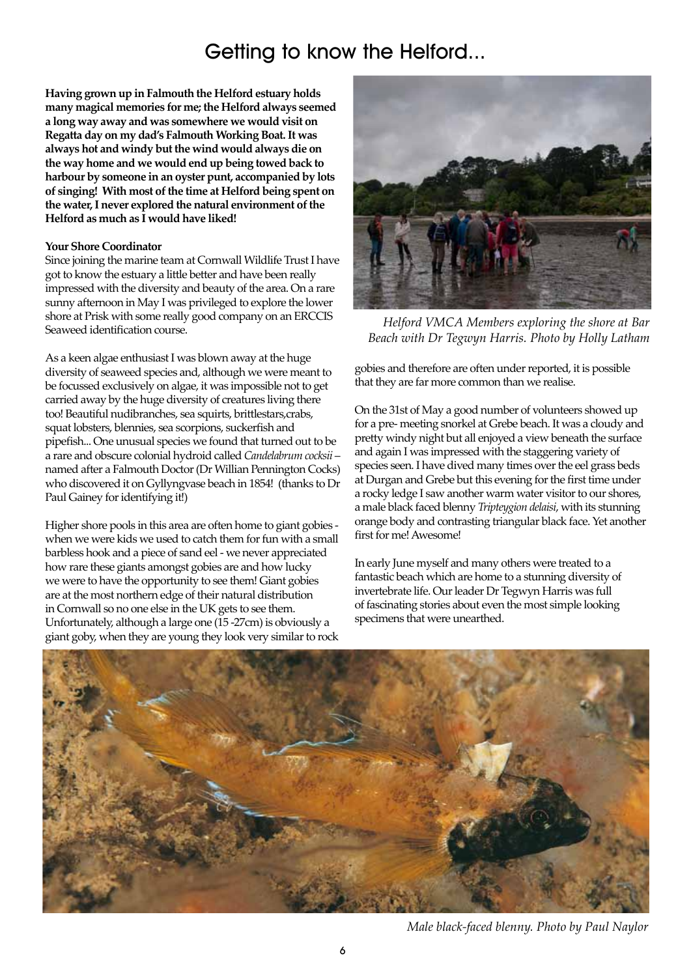### Getting to know the Helford...

**Having grown up in Falmouth the Helford estuary holds many magical memories for me; the Helford always seemed a long way away and was somewhere we would visit on Regatta day on my dad's Falmouth Working Boat. It was always hot and windy but the wind would always die on the way home and we would end up being towed back to harbour by someone in an oyster punt, accompanied by lots of singing! With most of the time at Helford being spent on the water, I never explored the natural environment of the Helford as much as I would have liked!** 

#### **Your Shore Coordinator**

Since joining the marine team at Cornwall Wildlife Trust I have got to know the estuary a little better and have been really impressed with the diversity and beauty of the area. On a rare sunny afternoon in May I was privileged to explore the lower shore at Prisk with some really good company on an ERCCIS Seaweed identification course.

As a keen algae enthusiast I was blown away at the huge diversity of seaweed species and, although we were meant to be focussed exclusively on algae, it was impossible not to get carried away by the huge diversity of creatures living there too! Beautiful nudibranches, sea squirts, brittlestars,crabs, squat lobsters, blennies, sea scorpions, suckerfish and pipefish... One unusual species we found that turned out to be a rare and obscure colonial hydroid called *Candelabrum cocksii* – named after a Falmouth Doctor (Dr Willian Pennington Cocks) who discovered it on Gyllyngvase beach in 1854! (thanks to Dr Paul Gainey for identifying it!)

Higher shore pools in this area are often home to giant gobies when we were kids we used to catch them for fun with a small barbless hook and a piece of sand eel - we never appreciated how rare these giants amongst gobies are and how lucky we were to have the opportunity to see them! Giant gobies are at the most northern edge of their natural distribution in Cornwall so no one else in the UK gets to see them. Unfortunately, although a large one (15 -27cm) is obviously a giant goby, when they are young they look very similar to rock



*Helford VMCA Members exploring the shore at Bar Beach with Dr Tegwyn Harris. Photo by Holly Latham*

gobies and therefore are often under reported, it is possible that they are far more common than we realise.

On the 31st of May a good number of volunteers showed up for a pre- meeting snorkel at Grebe beach. It was a cloudy and pretty windy night but all enjoyed a view beneath the surface and again I was impressed with the staggering variety of species seen. I have dived many times over the eel grass beds at Durgan and Grebe but this evening for the first time under a rocky ledge I saw another warm water visitor to our shores, a male black faced blenny *Tripteygion delaisi*, with its stunning orange body and contrasting triangular black face. Yet another first for me! Awesome!

In early June myself and many others were treated to a fantastic beach which are home to a stunning diversity of invertebrate life. Our leader Dr Tegwyn Harris was full of fascinating stories about even the most simple looking specimens that were unearthed.



*Male black-faced blenny. Photo by Paul Naylor*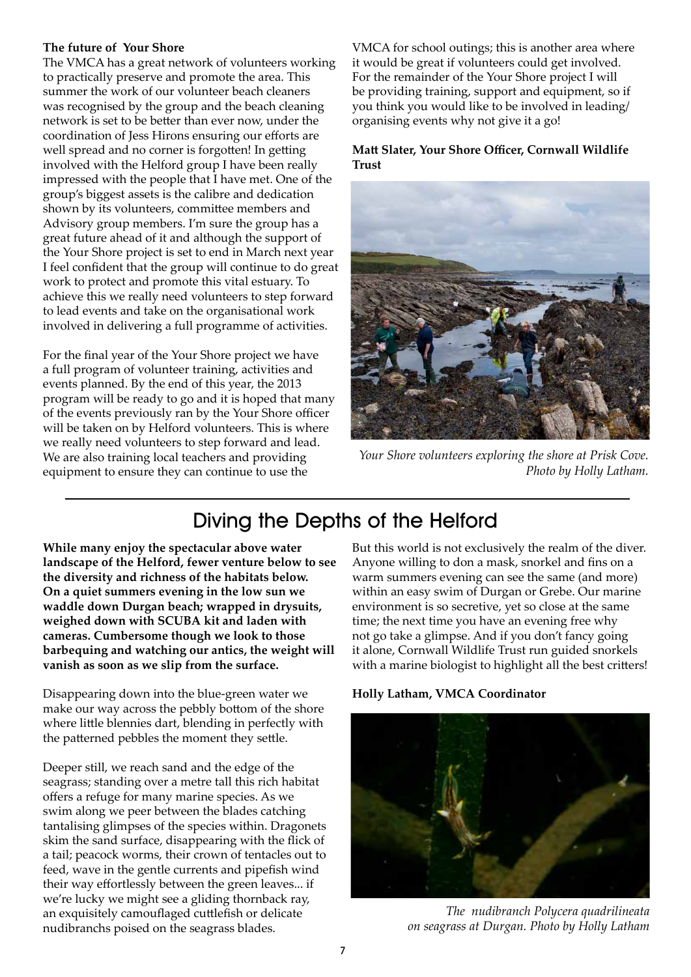#### **The future of Your Shore**

The VMCA has a great network of volunteers working to practically preserve and promote the area. This summer the work of our volunteer beach cleaners was recognised by the group and the beach cleaning network is set to be better than ever now, under the coordination of Jess Hirons ensuring our efforts are well spread and no corner is forgotten! In getting involved with the Helford group I have been really impressed with the people that I have met. One of the group's biggest assets is the calibre and dedication shown by its volunteers, committee members and Advisory group members. I'm sure the group has a great future ahead of it and although the support of the Your Shore project is set to end in March next year I feel confident that the group will continue to do great work to protect and promote this vital estuary. To achieve this we really need volunteers to step forward to lead events and take on the organisational work involved in delivering a full programme of activities.

For the final year of the Your Shore project we have a full program of volunteer training, activities and events planned. By the end of this year, the 2013 program will be ready to go and it is hoped that many of the events previously ran by the Your Shore officer will be taken on by Helford volunteers. This is where we really need volunteers to step forward and lead. We are also training local teachers and providing equipment to ensure they can continue to use the

VMCA for school outings; this is another area where it would be great if volunteers could get involved. For the remainder of the Your Shore project I will be providing training, support and equipment, so if you think you would like to be involved in leading/ organising events why not give it a go!

**Matt Slater, Your Shore Officer, Cornwall Wildlife Trust**



*Your Shore volunteers exploring the shore at Prisk Cove. Photo by Holly Latham.*

## Diving the Depths of the Helford

**While many enjoy the spectacular above water landscape of the Helford, fewer venture below to see the diversity and richness of the habitats below. On a quiet summers evening in the low sun we waddle down Durgan beach; wrapped in drysuits, weighed down with SCUBA kit and laden with cameras. Cumbersome though we look to those barbequing and watching our antics, the weight will vanish as soon as we slip from the surface.** 

Disappearing down into the blue-green water we make our way across the pebbly bottom of the shore where little blennies dart, blending in perfectly with the patterned pebbles the moment they settle.

Deeper still, we reach sand and the edge of the seagrass; standing over a metre tall this rich habitat offers a refuge for many marine species. As we swim along we peer between the blades catching tantalising glimpses of the species within. Dragonets skim the sand surface, disappearing with the flick of a tail; peacock worms, their crown of tentacles out to feed, wave in the gentle currents and pipefish wind their way effortlessly between the green leaves... if we're lucky we might see a gliding thornback ray, an exquisitely camouflaged cuttlefish or delicate nudibranchs poised on the seagrass blades.

But this world is not exclusively the realm of the diver. Anyone willing to don a mask, snorkel and fins on a warm summers evening can see the same (and more) within an easy swim of Durgan or Grebe. Our marine environment is so secretive, yet so close at the same time; the next time you have an evening free why not go take a glimpse. And if you don't fancy going it alone, Cornwall Wildlife Trust run guided snorkels with a marine biologist to highlight all the best critters!





*The nudibranch Polycera quadrilineata on seagrass at Durgan. Photo by Holly Latham*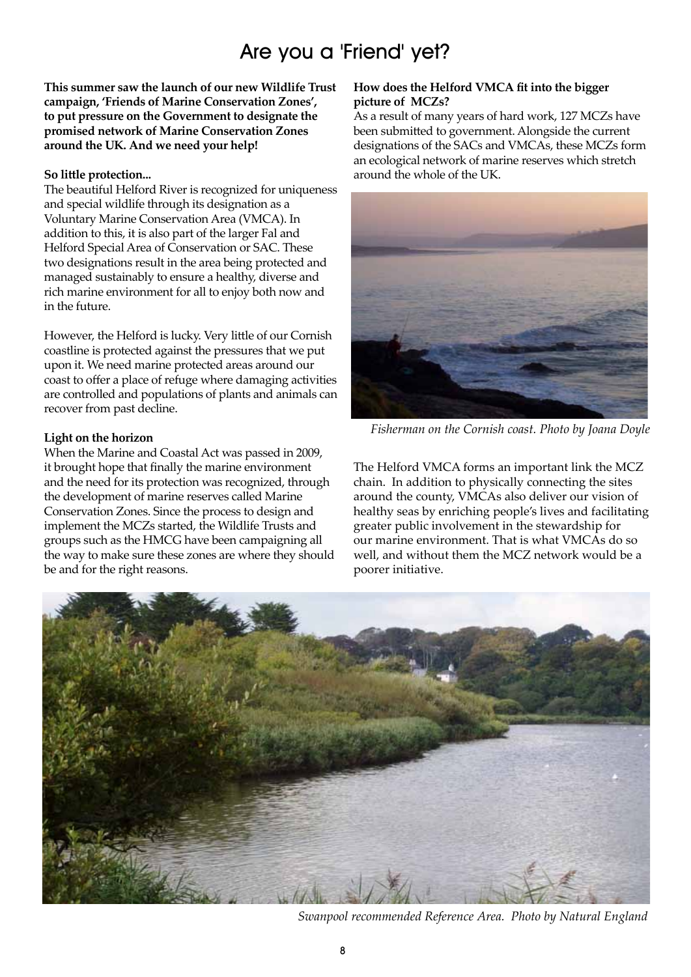## Are you a 'Friend' yet?

**This summer saw the launch of our new Wildlife Trust campaign, 'Friends of Marine Conservation Zones', to put pressure on the Government to designate the promised network of Marine Conservation Zones around the UK. And we need your help!** 

#### **So little protection...**

The beautiful Helford River is recognized for uniqueness and special wildlife through its designation as a Voluntary Marine Conservation Area (VMCA). In addition to this, it is also part of the larger Fal and Helford Special Area of Conservation or SAC. These two designations result in the area being protected and managed sustainably to ensure a healthy, diverse and rich marine environment for all to enjoy both now and in the future.

However, the Helford is lucky. Very little of our Cornish coastline is protected against the pressures that we put upon it. We need marine protected areas around our coast to offer a place of refuge where damaging activities are controlled and populations of plants and animals can recover from past decline.

#### **Light on the horizon**

When the Marine and Coastal Act was passed in 2009, it brought hope that finally the marine environment and the need for its protection was recognized, through the development of marine reserves called Marine Conservation Zones. Since the process to design and implement the MCZs started, the Wildlife Trusts and groups such as the HMCG have been campaigning all the way to make sure these zones are where they should be and for the right reasons.

#### **How does the Helford VMCA fit into the bigger picture of MCZs?**

As a result of many years of hard work, 127 MCZs have been submitted to government. Alongside the current designations of the SACs and VMCAs, these MCZs form an ecological network of marine reserves which stretch around the whole of the UK.



*Fisherman on the Cornish coast. Photo by Joana Doyle*

The Helford VMCA forms an important link the MCZ chain. In addition to physically connecting the sites around the county, VMCAs also deliver our vision of healthy seas by enriching people's lives and facilitating greater public involvement in the stewardship for our marine environment. That is what VMCAs do so well, and without them the MCZ network would be a poorer initiative.



*Swanpool recommended Reference Area. Photo by Natural England*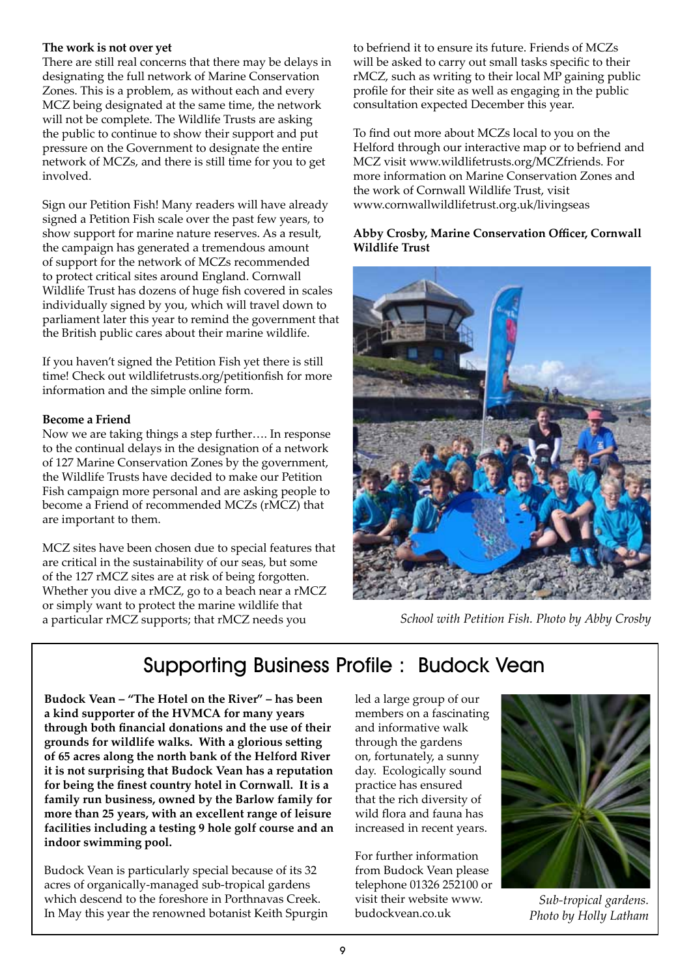#### **The work is not over yet**

There are still real concerns that there may be delays in designating the full network of Marine Conservation Zones. This is a problem, as without each and every MCZ being designated at the same time, the network will not be complete. The Wildlife Trusts are asking the public to continue to show their support and put pressure on the Government to designate the entire network of MCZs, and there is still time for you to get involved.

Sign our Petition Fish! Many readers will have already signed a Petition Fish scale over the past few years, to show support for marine nature reserves. As a result, the campaign has generated a tremendous amount of support for the network of MCZs recommended to protect critical sites around England. Cornwall Wildlife Trust has dozens of huge fish covered in scales individually signed by you, which will travel down to parliament later this year to remind the government that the British public cares about their marine wildlife.

If you haven't signed the Petition Fish yet there is still time! Check out wildlifetrusts.org/petitionfish for more information and the simple online form.

### **Become a Friend**

Now we are taking things a step further…. In response to the continual delays in the designation of a network of 127 Marine Conservation Zones by the government, the Wildlife Trusts have decided to make our Petition Fish campaign more personal and are asking people to become a Friend of recommended MCZs (rMCZ) that are important to them.

MCZ sites have been chosen due to special features that are critical in the sustainability of our seas, but some of the 127 rMCZ sites are at risk of being forgotten. Whether you dive a rMCZ, go to a beach near a rMCZ or simply want to protect the marine wildlife that a particular rMCZ supports; that rMCZ needs you

to befriend it to ensure its future. Friends of MCZs will be asked to carry out small tasks specific to their rMCZ, such as writing to their local MP gaining public profile for their site as well as engaging in the public consultation expected December this year.

To find out more about MCZs local to you on the Helford through our interactive map or to befriend and MCZ visit www.wildlifetrusts.org/MCZfriends. For more information on Marine Conservation Zones and the work of Cornwall Wildlife Trust, visit www.cornwallwildlifetrust.org.uk/livingseas

#### **Abby Crosby, Marine Conservation Officer, Cornwall Wildlife Trust**



*School with Petition Fish. Photo by Abby Crosby*

## Supporting Business Profile : Budock Vean

**Budock Vean – "The Hotel on the River" – has been a kind supporter of the HVMCA for many years through both financial donations and the use of their grounds for wildlife walks. With a glorious setting of 65 acres along the north bank of the Helford River it is not surprising that Budock Vean has a reputation for being the finest country hotel in Cornwall. It is a family run business, owned by the Barlow family for more than 25 years, with an excellent range of leisure facilities including a testing 9 hole golf course and an indoor swimming pool.**

Budock Vean is particularly special because of its 32 acres of organically-managed sub-tropical gardens which descend to the foreshore in Porthnavas Creek. In May this year the renowned botanist Keith Spurgin led a large group of our members on a fascinating and informative walk through the gardens on, fortunately, a sunny day. Ecologically sound practice has ensured that the rich diversity of wild flora and fauna has increased in recent years.

For further information from Budock Vean please telephone 01326 252100 or visit their website www. budockvean.co.uk



*Sub-tropical gardens. Photo by Holly Latham*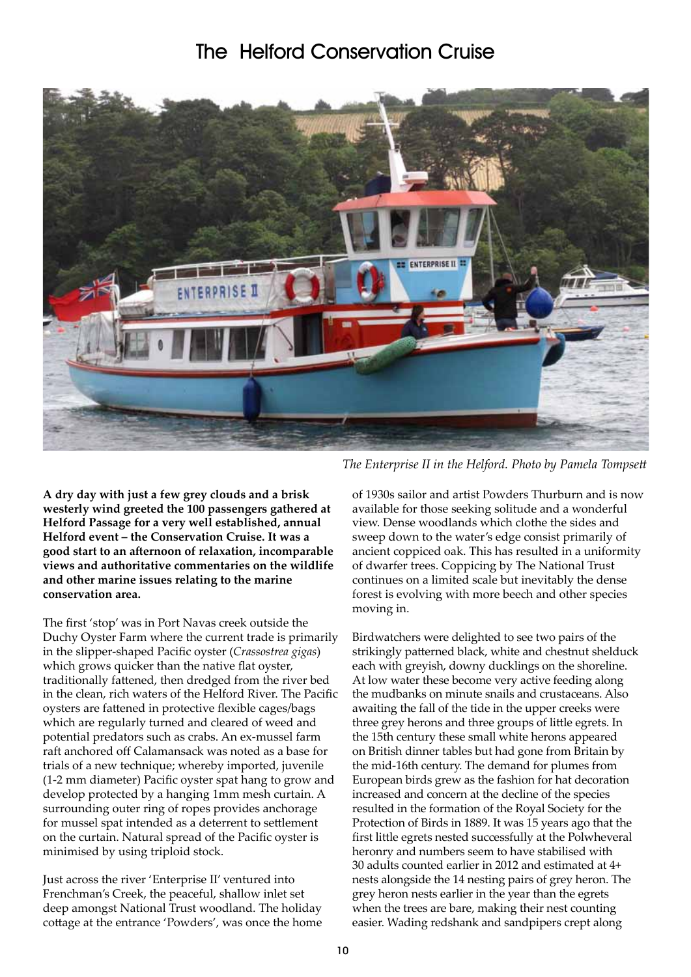### The Helford Conservation Cruise



**A dry day with just a few grey clouds and a brisk westerly wind greeted the 100 passengers gathered at Helford Passage for a very well established, annual Helford event – the Conservation Cruise. It was a good start to an afternoon of relaxation, incomparable views and authoritative commentaries on the wildlife and other marine issues relating to the marine conservation area.**

The first 'stop' was in Port Navas creek outside the Duchy Oyster Farm where the current trade is primarily in the slipper-shaped Pacific oyster (*Crassostrea gigas*) which grows quicker than the native flat oyster, traditionally fattened, then dredged from the river bed in the clean, rich waters of the Helford River. The Pacific oysters are fattened in protective flexible cages/bags which are regularly turned and cleared of weed and potential predators such as crabs. An ex-mussel farm raft anchored off Calamansack was noted as a base for trials of a new technique; whereby imported, juvenile (1-2 mm diameter) Pacific oyster spat hang to grow and develop protected by a hanging 1mm mesh curtain. A surrounding outer ring of ropes provides anchorage for mussel spat intended as a deterrent to settlement on the curtain. Natural spread of the Pacific oyster is minimised by using triploid stock.

Just across the river 'Enterprise II' ventured into Frenchman's Creek, the peaceful, shallow inlet set deep amongst National Trust woodland. The holiday cottage at the entrance 'Powders', was once the home

*The Enterprise II in the Helford. Photo by Pamela Tompsett*

of 1930s sailor and artist Powders Thurburn and is now available for those seeking solitude and a wonderful view. Dense woodlands which clothe the sides and sweep down to the water's edge consist primarily of ancient coppiced oak. This has resulted in a uniformity of dwarfer trees. Coppicing by The National Trust continues on a limited scale but inevitably the dense forest is evolving with more beech and other species moving in.

Birdwatchers were delighted to see two pairs of the strikingly patterned black, white and chestnut shelduck each with greyish, downy ducklings on the shoreline. At low water these become very active feeding along the mudbanks on minute snails and crustaceans. Also awaiting the fall of the tide in the upper creeks were three grey herons and three groups of little egrets. In the 15th century these small white herons appeared on British dinner tables but had gone from Britain by the mid-16th century. The demand for plumes from European birds grew as the fashion for hat decoration increased and concern at the decline of the species resulted in the formation of the Royal Society for the Protection of Birds in 1889. It was 15 years ago that the first little egrets nested successfully at the Polwheveral heronry and numbers seem to have stabilised with 30 adults counted earlier in 2012 and estimated at 4+ nests alongside the 14 nesting pairs of grey heron. The grey heron nests earlier in the year than the egrets when the trees are bare, making their nest counting easier. Wading redshank and sandpipers crept along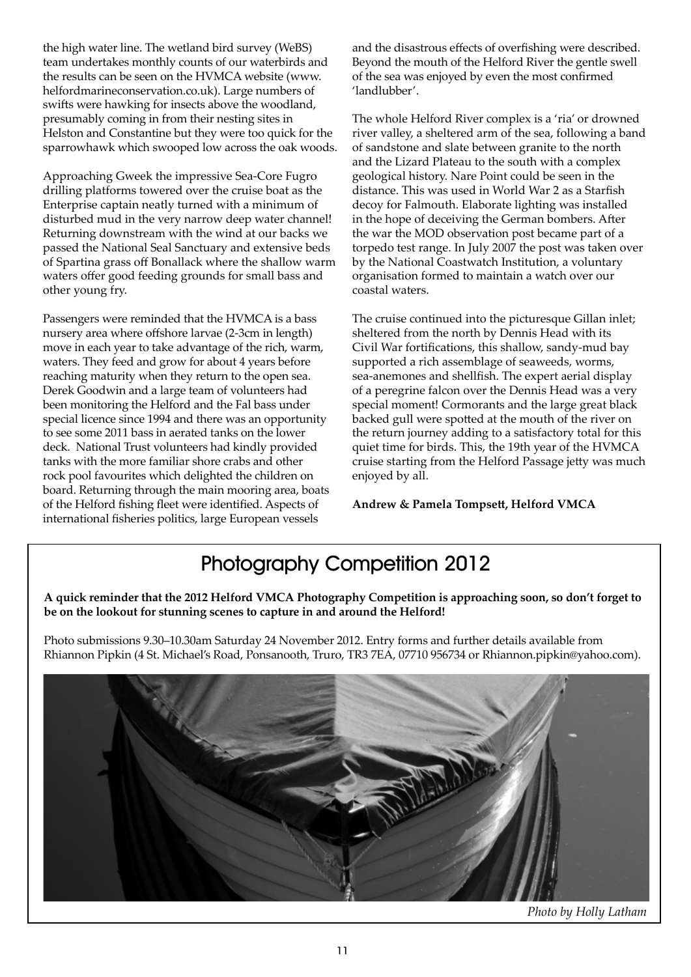the high water line. The wetland bird survey (WeBS) team undertakes monthly counts of our waterbirds and the results can be seen on the HVMCA website (www. helfordmarineconservation.co.uk). Large numbers of swifts were hawking for insects above the woodland, presumably coming in from their nesting sites in Helston and Constantine but they were too quick for the sparrowhawk which swooped low across the oak woods.

Approaching Gweek the impressive Sea-Core Fugro drilling platforms towered over the cruise boat as the Enterprise captain neatly turned with a minimum of disturbed mud in the very narrow deep water channel! Returning downstream with the wind at our backs we passed the National Seal Sanctuary and extensive beds of Spartina grass off Bonallack where the shallow warm waters offer good feeding grounds for small bass and other young fry.

Passengers were reminded that the HVMCA is a bass nursery area where offshore larvae (2-3cm in length) move in each year to take advantage of the rich, warm, waters. They feed and grow for about 4 years before reaching maturity when they return to the open sea. Derek Goodwin and a large team of volunteers had been monitoring the Helford and the Fal bass under special licence since 1994 and there was an opportunity to see some 2011 bass in aerated tanks on the lower deck. National Trust volunteers had kindly provided tanks with the more familiar shore crabs and other rock pool favourites which delighted the children on board. Returning through the main mooring area, boats of the Helford fishing fleet were identified. Aspects of international fisheries politics, large European vessels

and the disastrous effects of overfishing were described. Beyond the mouth of the Helford River the gentle swell of the sea was enjoyed by even the most confirmed 'landlubber'.

The whole Helford River complex is a 'ria' or drowned river valley, a sheltered arm of the sea, following a band of sandstone and slate between granite to the north and the Lizard Plateau to the south with a complex geological history. Nare Point could be seen in the distance. This was used in World War 2 as a Starfish decoy for Falmouth. Elaborate lighting was installed in the hope of deceiving the German bombers. After the war the MOD observation post became part of a torpedo test range. In July 2007 the post was taken over by the National Coastwatch Institution, a voluntary organisation formed to maintain a watch over our coastal waters.

The cruise continued into the picturesque Gillan inlet; sheltered from the north by Dennis Head with its Civil War fortifications, this shallow, sandy-mud bay supported a rich assemblage of seaweeds, worms, sea-anemones and shellfish. The expert aerial display of a peregrine falcon over the Dennis Head was a very special moment! Cormorants and the large great black backed gull were spotted at the mouth of the river on the return journey adding to a satisfactory total for this quiet time for birds. This, the 19th year of the HVMCA cruise starting from the Helford Passage jetty was much enjoyed by all.

**Andrew & Pamela Tompsett, Helford VMCA**

# Photography Competition 2012

**A quick reminder that the 2012 Helford VMCA Photography Competition is approaching soon, so don't forget to be on the lookout for stunning scenes to capture in and around the Helford!**

Photo submissions 9.30–10.30am Saturday 24 November 2012. Entry forms and further details available from Rhiannon Pipkin (4 St. Michael's Road, Ponsanooth, Truro, TR3 7EA, 07710 956734 or Rhiannon.pipkin@yahoo.com).



*Photo by Holly Latham*